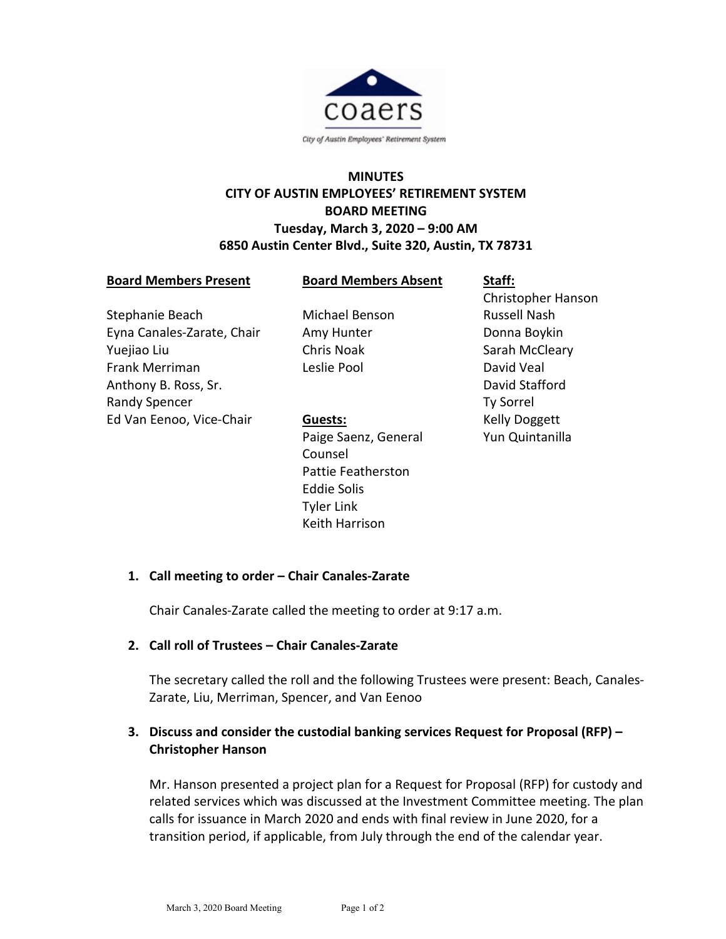

# **MINUTES CITY OF AUSTIN EMPLOYEES' RETIREMENT SYSTEM BOARD MEETING Tuesday, March 3, 2020 – 9:00 AM 6850 Austin Center Blvd., Suite 320, Austin, TX 78731**

#### **Board Members Present**

**Board Members Absent**

Stephanie Beach Eyna Canales-Zarate, Chair Yuejiao Liu Frank Merriman Anthony B. Ross, Sr. Randy Spencer Ed Van Eenoo, Vice-Chair

Michael Benson Amy Hunter Chris Noak Leslie Pool

## **Guests:**

Paige Saenz, General Counsel Pattie Featherston Eddie Solis Tyler Link Keith Harrison

**Staff:** Christopher Hanson Russell Nash Donna Boykin Sarah McCleary David Veal David Stafford Ty Sorrel Kelly Doggett Yun Quintanilla

# **1. Call meeting to order – Chair Canales-Zarate**

Chair Canales-Zarate called the meeting to order at 9:17 a.m.

## **2. Call roll of Trustees – Chair Canales-Zarate**

The secretary called the roll and the following Trustees were present: Beach, Canales-Zarate, Liu, Merriman, Spencer, and Van Eenoo

# **3. Discuss and consider the custodial banking services Request for Proposal (RFP) – Christopher Hanson**

Mr. Hanson presented a project plan for a Request for Proposal (RFP) for custody and related services which was discussed at the Investment Committee meeting. The plan calls for issuance in March 2020 and ends with final review in June 2020, for a transition period, if applicable, from July through the end of the calendar year.